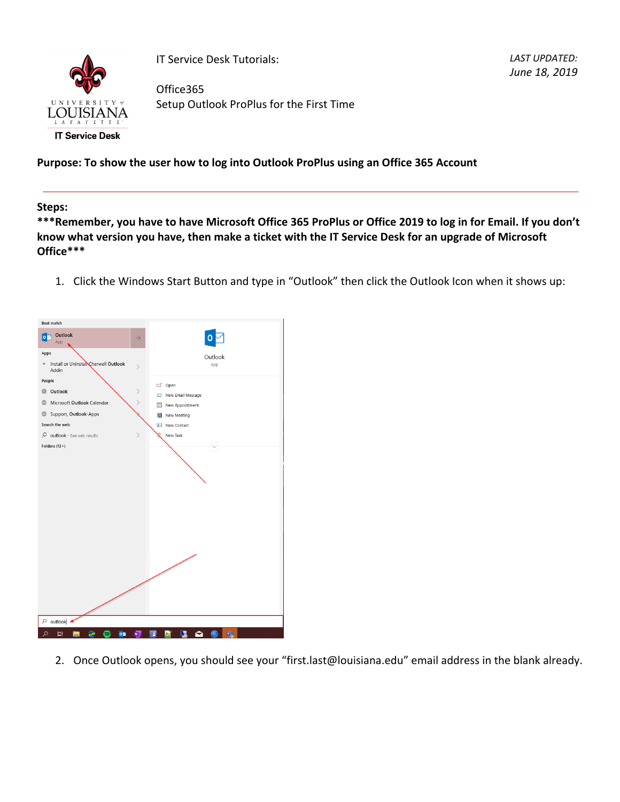

IT Service Desk Tutorials:

Office365 Setup Outlook ProPlus for the First Time

*LAST UPDATED: June 18, 2019*

**Purpose: To show the user how to log into Outlook ProPlus using an Office 365 Account**

**Steps:**

**\*\*\*Remember, you have to have Microsoft Office 365 ProPlus or Office 2019 to log in for Email. If you don't know what version you have, then make a ticket with the IT Service Desk for an upgrade of Microsoft Office\*\*\***

1. Click the Windows Start Button and type in "Outlook" then click the Outlook Icon when it shows up:



2. Once Outlook opens, you should see your "first.last@louisiana.edu" email address in the blank already.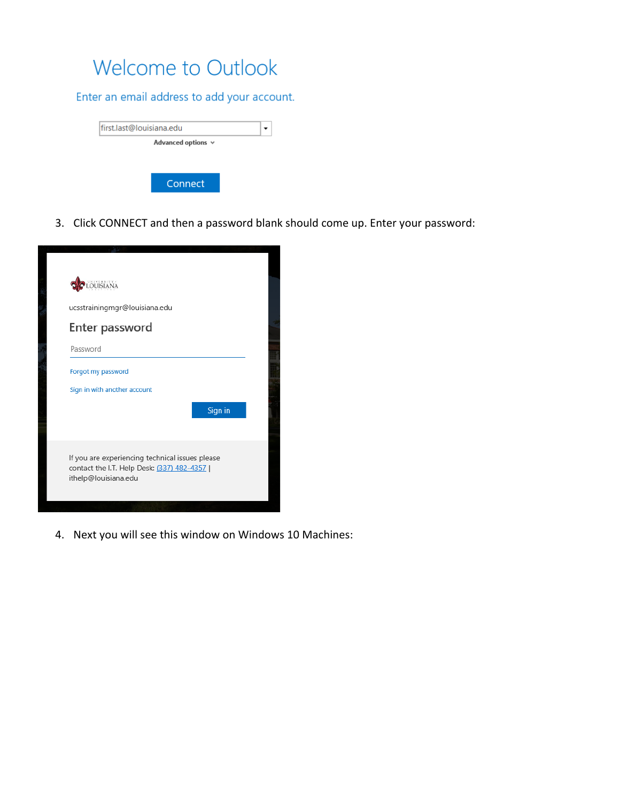## Welcome to Outlook

Enter an email address to add your account.

| first.last@louisiana.edu |  |
|--------------------------|--|
| Advanced options $\vee$  |  |
|                          |  |
|                          |  |
| Connect                  |  |
|                          |  |

3. Click CONNECT and then a password blank should come up. Enter your password:

| ucsstrainingmgr@louisiana.edu                                                                                           |         |  |
|-------------------------------------------------------------------------------------------------------------------------|---------|--|
| Enter password<br>Password                                                                                              |         |  |
| Forgot my password<br>Sign in with another account                                                                      |         |  |
|                                                                                                                         | Sign in |  |
| If you are experiencing technical issues please<br>contact the I.T. Help Desk: (337) 482-4357  <br>ithelp@louisiana.edu |         |  |

4. Next you will see this window on Windows 10 Machines: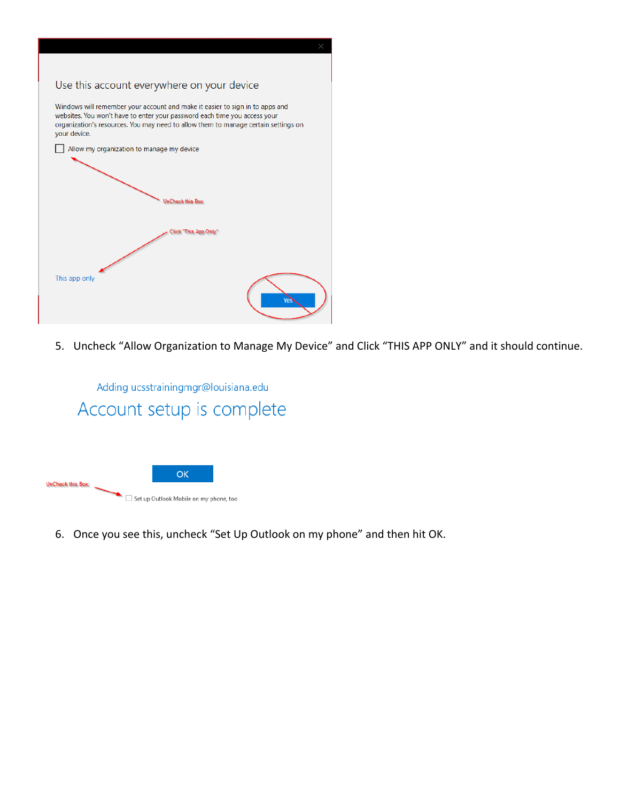

5. Uncheck "Allow Organization to Manage My Device" and Click "THIS APP ONLY" and it should continue.

Adding ucsstrainingmgr@louisiana.edu Account setup is complete



6. Once you see this, uncheck "Set Up Outlook on my phone" and then hit OK.